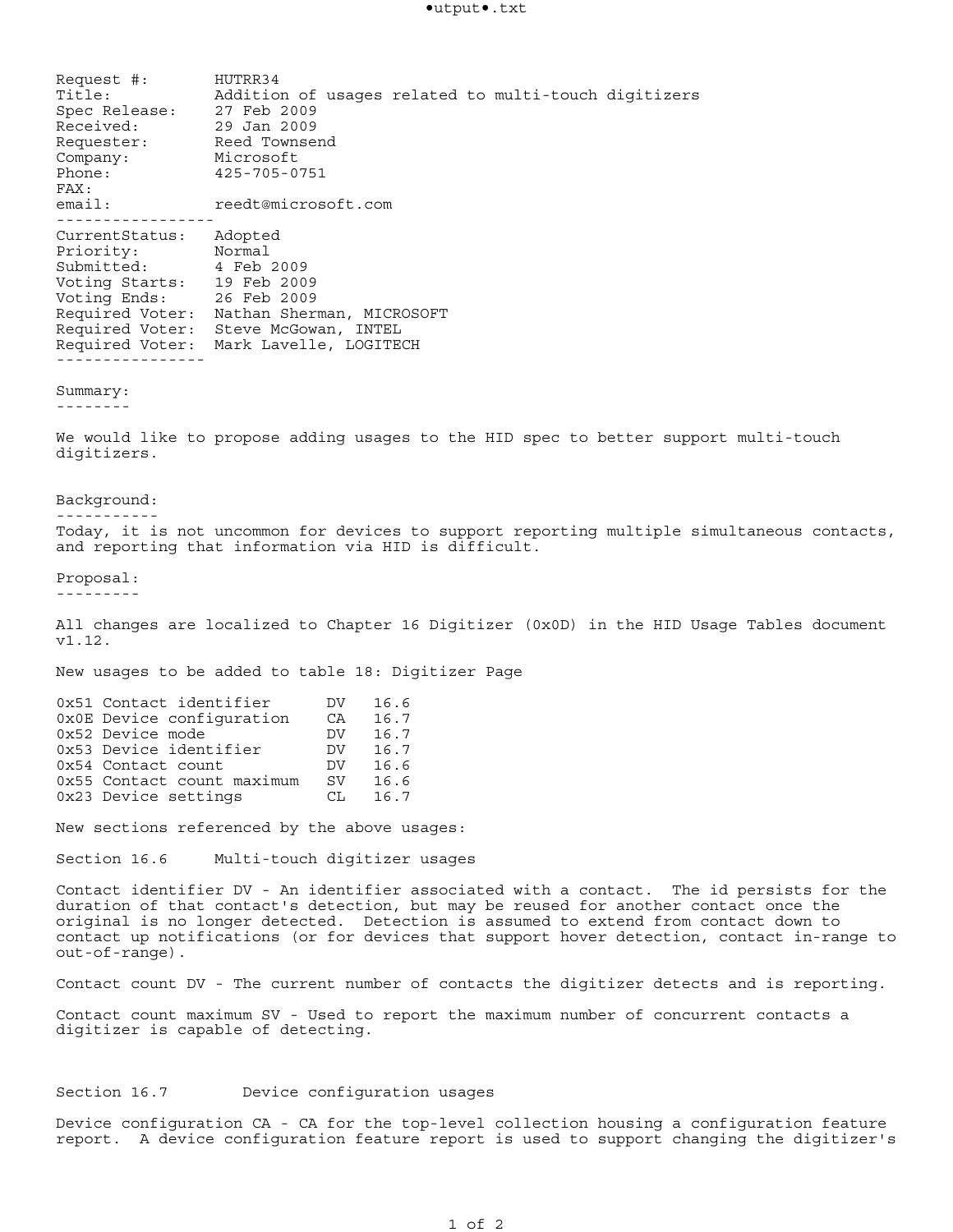Request #: HUTRR34 Title: Addition of usages related to multi-touch digitizers Spec Release: 27 Feb 2009 Received: 29 Jan 2009 Requester: Reed Townsend Company: Microsoft Phone: 425-705-0751 FAX: email: reedt@microsoft.com ----------------- CurrentStatus: Adopted Priority: Normal Submitted: 4 Feb 2009 Voting Starts: 19 Feb 2009 Voting Ends: 26 Feb 2009 Required Voter: Nathan Sherman, MICROSOFT Required Voter: Steve McGowan, INTEL Required Voter: Mark Lavelle, LOGITECH ---------------- Summary: -------- We would like to propose adding usages to the HID spec to better support multi-touch digitizers. Background: ----------- Today, it is not uncommon for devices to support reporting multiple simultaneous contacts, and reporting that information via HID is difficult. Proposal: --------- All changes are localized to Chapter 16 Digitizer (0x0D) in the HID Usage Tables document v1.12. New usages to be added to table 18: Digitizer Page 0x51 Contact identifier DV 16.6 0x0E Device configuration CA 16.7 0x52 Device mode DV 16.7 0x53 Device identifier DV 16.7 0x54 Contact count DV 16.6 0x54 Contact count maximum DV 16.6<br>0x55 Contact count maximum SV 16.6 0x23 Device settings CL 16.7 New sections referenced by the above usages: Section 16.6 Multi-touch digitizer usages Contact identifier DV - An identifier associated with a contact. The id persists for the duration of that contact's detection, but may be reused for another contact once the original is no longer detected. Detection is assumed to extend from contact down to contact up notifications (or for devices that support hover detection, contact in-range to out-of-range). Contact count DV - The current number of contacts the digitizer detects and is reporting. Contact count maximum SV - Used to report the maximum number of concurrent contacts a

## Section 16.7 Device configuration usages

digitizer is capable of detecting.

Device configuration CA - CA for the top-level collection housing a configuration feature report. A device configuration feature report is used to support changing the digitizer's